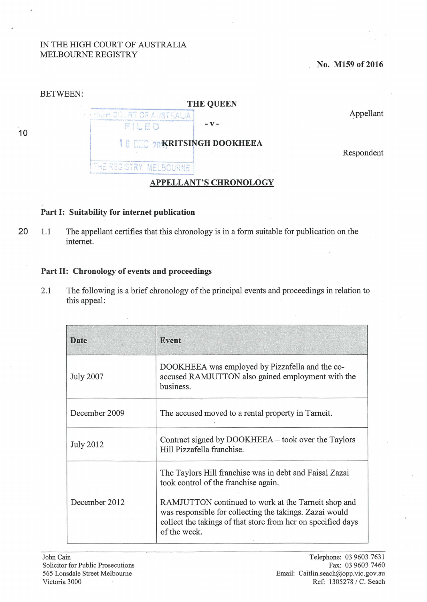## IN THE HIGH COURT OF AUSTRALIA MELBOURNE REGISTRY

**No. M159 of 2016** 



## **Part 1: Suitability for internet publication**

20 1.1 The appellant certifies that this chronology is in a form suitable for publication on the internet.

## **Part 11: Chronology of events and proceedings**

2.1 The following is a brief chronology of the principal events and proceedings in relation to this appeal:

| Date             | <b>Event</b>                                                                                                                                                                                   |
|------------------|------------------------------------------------------------------------------------------------------------------------------------------------------------------------------------------------|
| <b>July 2007</b> | DOOKHEEA was employed by Pizzafella and the co-<br>accused RAMJUTTON also gained employment with the<br>business.                                                                              |
| December 2009    | The accused moved to a rental property in Tarneit.                                                                                                                                             |
| <b>July 2012</b> | Contract signed by DOOKHEEA – took over the Taylors<br>Hill Pizzafella franchise.                                                                                                              |
|                  | The Taylors Hill franchise was in debt and Faisal Zazai<br>took control of the franchise again.                                                                                                |
| December 2012    | RAMJUTTON continued to work at the Tarneit shop and<br>was responsible for collecting the takings. Zazai would<br>collect the takings of that store from her on specified days<br>of the week. |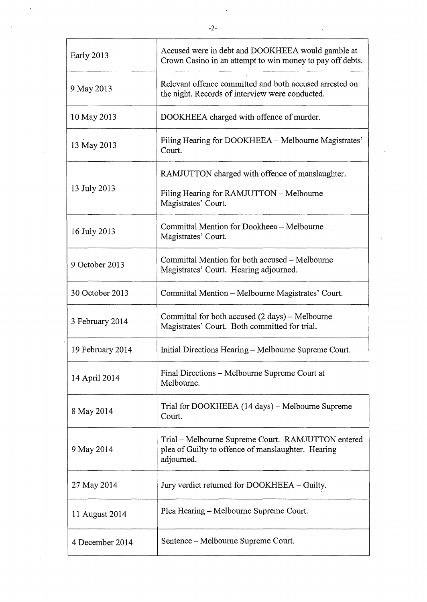| Early 2013       | Accused were in debt and DOOKHEEA would gamble at<br>Crown Casino in an attempt to win money to pay off debts.         |
|------------------|------------------------------------------------------------------------------------------------------------------------|
| 9 May 2013       | Relevant offence committed and both accused arrested on<br>the night. Records of interview were conducted.             |
| 10 May 2013      | DOOKHEEA charged with offence of murder.                                                                               |
| 13 May 2013      | Filing Hearing for DOOKHEEA – Melbourne Magistrates'<br>Court.                                                         |
| 13 July 2013     | RAMJUTTON charged with offence of manslaughter.                                                                        |
|                  | Filing Hearing for RAMJUTTON - Melbourne<br>Magistrates' Court.                                                        |
| 16 July 2013     | Committal Mention for Dookheea - Melbourne<br>Magistrates' Court.                                                      |
| 9 October 2013   | Committal Mention for both accused – Melbourne<br>Magistrates' Court. Hearing adjourned.                               |
| 30 October 2013  | Committal Mention - Melbourne Magistrates' Court.                                                                      |
| 3 February 2014  | Committal for both accused $(2 \text{ days}) - \text{Melbourne}$<br>Magistrates' Court. Both committed for trial.      |
| 19 February 2014 | Initial Directions Hearing - Melbourne Supreme Court.                                                                  |
| 14 April 2014    | Final Directions - Melbourne Supreme Court at<br>Melbourne.                                                            |
| 8 May 2014       | Trial for DOOKHEEA (14 days) – Melbourne Supreme<br>Court.                                                             |
| 9 May 2014       | Trial – Melbourne Supreme Court. RAMJUTTON entered<br>plea of Guilty to offence of manslaughter. Hearing<br>adjourned. |
| 27 May 2014      | Jury verdict returned for DOOKHEEA - Guilty.                                                                           |
| 11 August 2014   | Plea Hearing – Melbourne Supreme Court.                                                                                |
| 4 December 2014  | Sentence – Melbourne Supreme Court.                                                                                    |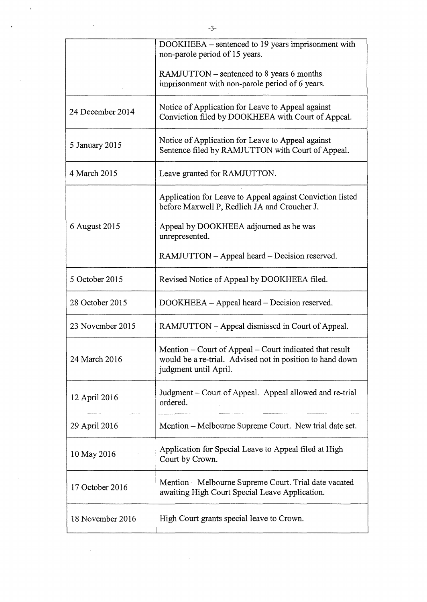|                  | $-3-$                                                                                                                                         |
|------------------|-----------------------------------------------------------------------------------------------------------------------------------------------|
|                  | DOOKHEEA – sentenced to 19 years imprisonment with<br>non-parole period of 15 years.                                                          |
|                  | RAMJUTTON – sentenced to 8 years 6 months<br>imprisonment with non-parole period of 6 years.                                                  |
| 24 December 2014 | Notice of Application for Leave to Appeal against<br>Conviction filed by DOOKHEEA with Court of Appeal.                                       |
| 5 January 2015   | Notice of Application for Leave to Appeal against<br>Sentence filed by RAMJUTTON with Court of Appeal.                                        |
| 4 March 2015     | Leave granted for RAMJUTTON.                                                                                                                  |
| 6 August 2015    | Application for Leave to Appeal against Conviction listed<br>before Maxwell P, Redlich JA and Croucher J.                                     |
|                  | Appeal by DOOKHEEA adjourned as he was<br>unrepresented.                                                                                      |
|                  | RAMJUTTON – Appeal heard – Decision reserved.                                                                                                 |
| 5 October 2015   | Revised Notice of Appeal by DOOKHEEA filed.                                                                                                   |
| 28 October 2015  | DOOKHEEA - Appeal heard - Decision reserved.                                                                                                  |
| 23 November 2015 | RAMJUTTON - Appeal dismissed in Court of Appeal.                                                                                              |
| 24 March 2016    | Mention - Court of Appeal - Court indicated that result<br>would be a re-trial. Advised not in position to hand down<br>judgment until April. |
| 12 April 2016    | Judgment – Court of Appeal. Appeal allowed and re-trial<br>ordered.                                                                           |
| 29 April 2016    | Mention - Melbourne Supreme Court. New trial date set.                                                                                        |
| 10 May 2016      | Application for Special Leave to Appeal filed at High<br>Court by Crown.                                                                      |
| 17 October 2016  | Mention – Melbourne Supreme Court. Trial date vacated<br>awaiting High Court Special Leave Application.                                       |
| 18 November 2016 | High Court grants special leave to Crown.                                                                                                     |
|                  |                                                                                                                                               |

 $\label{eq:2.1} \frac{1}{2} \sum_{i=1}^n \frac{1}{2} \sum_{j=1}^n \frac{1}{2} \sum_{j=1}^n \frac{1}{2} \sum_{j=1}^n \frac{1}{2} \sum_{j=1}^n \frac{1}{2} \sum_{j=1}^n \frac{1}{2} \sum_{j=1}^n \frac{1}{2} \sum_{j=1}^n \frac{1}{2} \sum_{j=1}^n \frac{1}{2} \sum_{j=1}^n \frac{1}{2} \sum_{j=1}^n \frac{1}{2} \sum_{j=1}^n \frac{1}{2} \sum_{j=1}^n \frac{$ 

 $\sim$ 

 $\label{eq:2.1} \frac{1}{2} \sum_{i=1}^n \frac{1}{2} \sum_{j=1}^n \frac{1}{2} \sum_{j=1}^n \frac{1}{2} \sum_{j=1}^n \frac{1}{2} \sum_{j=1}^n \frac{1}{2} \sum_{j=1}^n \frac{1}{2} \sum_{j=1}^n \frac{1}{2} \sum_{j=1}^n \frac{1}{2} \sum_{j=1}^n \frac{1}{2} \sum_{j=1}^n \frac{1}{2} \sum_{j=1}^n \frac{1}{2} \sum_{j=1}^n \frac{1}{2} \sum_{j=1}^n \frac{$ 

 $\label{eq:2.1} \frac{1}{\sqrt{2}}\int_{\mathbb{R}^3}\frac{1}{\sqrt{2}}\left(\frac{1}{\sqrt{2}}\right)^2\frac{1}{\sqrt{2}}\left(\frac{1}{\sqrt{2}}\right)^2\frac{1}{\sqrt{2}}\left(\frac{1}{\sqrt{2}}\right)^2\frac{1}{\sqrt{2}}\left(\frac{1}{\sqrt{2}}\right)^2.$